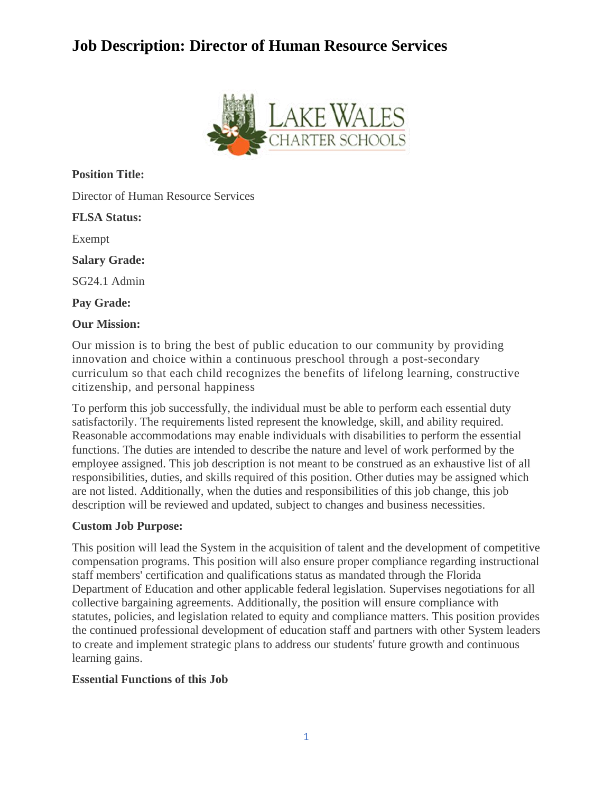

**Position Title:**

Director of Human Resource Services

**FLSA Status:**

Exempt

**Salary Grade:**

SG24.1 Admin

**Pay Grade:**

#### **Our Mission:**

Our mission is to bring the best of public education to our community by providing innovation and choice within a continuous preschool through a post-secondary curriculum so that each child recognizes the benefits of lifelong learning, constructive citizenship, and personal happiness

To perform this job successfully, the individual must be able to perform each essential duty satisfactorily. The requirements listed represent the knowledge, skill, and ability required. Reasonable accommodations may enable individuals with disabilities to perform the essential functions. The duties are intended to describe the nature and level of work performed by the employee assigned. This job description is not meant to be construed as an exhaustive list of all responsibilities, duties, and skills required of this position. Other duties may be assigned which are not listed. Additionally, when the duties and responsibilities of this job change, this job description will be reviewed and updated, subject to changes and business necessities.

### **Custom Job Purpose:**

This position will lead the System in the acquisition of talent and the development of competitive compensation programs. This position will also ensure proper compliance regarding instructional staff members' certification and qualifications status as mandated through the Florida Department of Education and other applicable federal legislation. Supervises negotiations for all collective bargaining agreements. Additionally, the position will ensure compliance with statutes, policies, and legislation related to equity and compliance matters. This position provides the continued professional development of education staff and partners with other System leaders to create and implement strategic plans to address our students' future growth and continuous learning gains.

### **Essential Functions of this Job**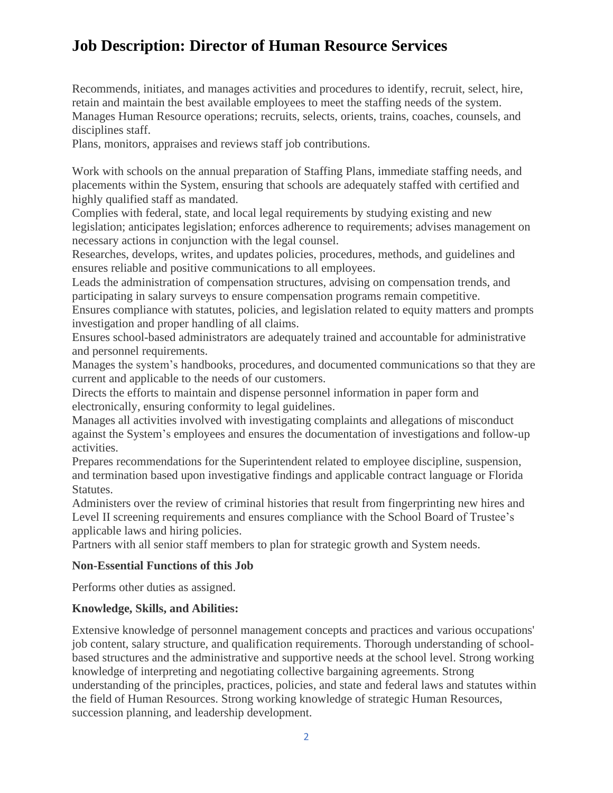Recommends, initiates, and manages activities and procedures to identify, recruit, select, hire, retain and maintain the best available employees to meet the staffing needs of the system. Manages Human Resource operations; recruits, selects, orients, trains, coaches, counsels, and disciplines staff.

Plans, monitors, appraises and reviews staff job contributions.

Work with schools on the annual preparation of Staffing Plans, immediate staffing needs, and placements within the System, ensuring that schools are adequately staffed with certified and highly qualified staff as mandated.

Complies with federal, state, and local legal requirements by studying existing and new legislation; anticipates legislation; enforces adherence to requirements; advises management on necessary actions in conjunction with the legal counsel.

Researches, develops, writes, and updates policies, procedures, methods, and guidelines and ensures reliable and positive communications to all employees.

Leads the administration of compensation structures, advising on compensation trends, and participating in salary surveys to ensure compensation programs remain competitive.

Ensures compliance with statutes, policies, and legislation related to equity matters and prompts investigation and proper handling of all claims.

Ensures school-based administrators are adequately trained and accountable for administrative and personnel requirements.

Manages the system's handbooks, procedures, and documented communications so that they are current and applicable to the needs of our customers.

Directs the efforts to maintain and dispense personnel information in paper form and electronically, ensuring conformity to legal guidelines.

Manages all activities involved with investigating complaints and allegations of misconduct against the System's employees and ensures the documentation of investigations and follow-up activities.

Prepares recommendations for the Superintendent related to employee discipline, suspension, and termination based upon investigative findings and applicable contract language or Florida Statutes.

Administers over the review of criminal histories that result from fingerprinting new hires and Level II screening requirements and ensures compliance with the School Board of Trustee's applicable laws and hiring policies.

Partners with all senior staff members to plan for strategic growth and System needs.

### **Non-Essential Functions of this Job**

Performs other duties as assigned.

### **Knowledge, Skills, and Abilities:**

Extensive knowledge of personnel management concepts and practices and various occupations' job content, salary structure, and qualification requirements. Thorough understanding of schoolbased structures and the administrative and supportive needs at the school level. Strong working knowledge of interpreting and negotiating collective bargaining agreements. Strong understanding of the principles, practices, policies, and state and federal laws and statutes within the field of Human Resources. Strong working knowledge of strategic Human Resources, succession planning, and leadership development.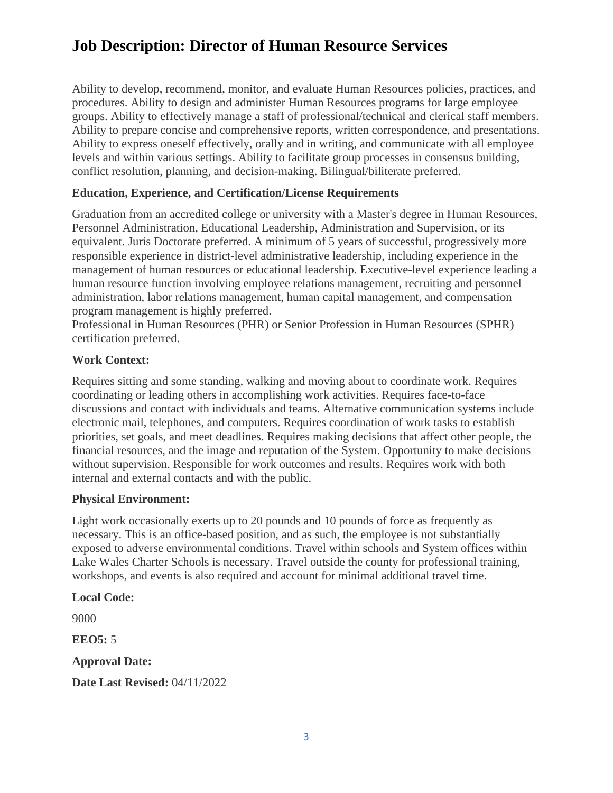Ability to develop, recommend, monitor, and evaluate Human Resources policies, practices, and procedures. Ability to design and administer Human Resources programs for large employee groups. Ability to effectively manage a staff of professional/technical and clerical staff members. Ability to prepare concise and comprehensive reports, written correspondence, and presentations. Ability to express oneself effectively, orally and in writing, and communicate with all employee levels and within various settings. Ability to facilitate group processes in consensus building, conflict resolution, planning, and decision-making. Bilingual/biliterate preferred.

### **Education, Experience, and Certification/License Requirements**

Graduation from an accredited college or university with a Master's degree in Human Resources, Personnel Administration, Educational Leadership, Administration and Supervision, or its equivalent. Juris Doctorate preferred. A minimum of 5 years of successful, progressively more responsible experience in district-level administrative leadership, including experience in the management of human resources or educational leadership. Executive-level experience leading a human resource function involving employee relations management, recruiting and personnel administration, labor relations management, human capital management, and compensation program management is highly preferred.

Professional in Human Resources (PHR) or Senior Profession in Human Resources (SPHR) certification preferred.

### **Work Context:**

Requires sitting and some standing, walking and moving about to coordinate work. Requires coordinating or leading others in accomplishing work activities. Requires face-to-face discussions and contact with individuals and teams. Alternative communication systems include electronic mail, telephones, and computers. Requires coordination of work tasks to establish priorities, set goals, and meet deadlines. Requires making decisions that affect other people, the financial resources, and the image and reputation of the System. Opportunity to make decisions without supervision. Responsible for work outcomes and results. Requires work with both internal and external contacts and with the public.

### **Physical Environment:**

Light work occasionally exerts up to 20 pounds and 10 pounds of force as frequently as necessary. This is an office-based position, and as such, the employee is not substantially exposed to adverse environmental conditions. Travel within schools and System offices within Lake Wales Charter Schools is necessary. Travel outside the county for professional training, workshops, and events is also required and account for minimal additional travel time.

#### **Local Code:**

9000

**EEO5:** 5

**Approval Date:**

**Date Last Revised:** 04/11/2022